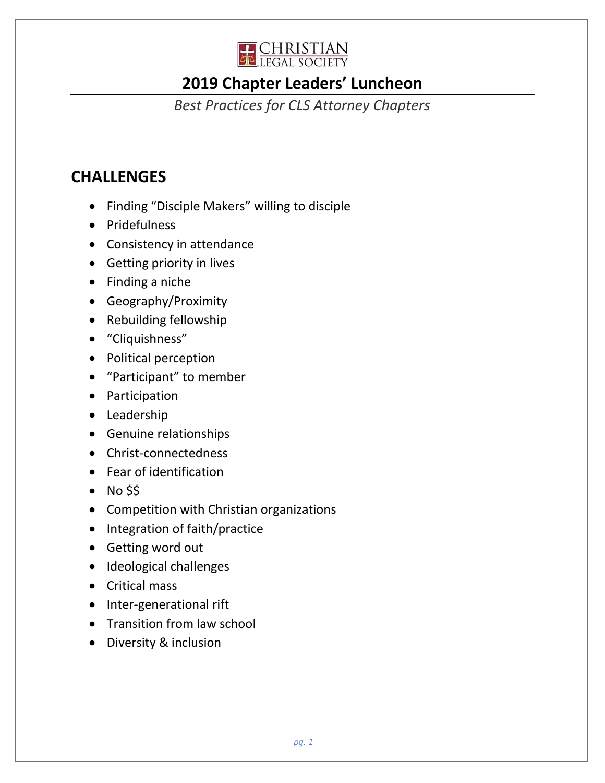

# **2019 Chapter Leaders' Luncheon**

*Best Practices for CLS Attorney Chapters*

# **CHALLENGES**

- Finding "Disciple Makers" willing to disciple
- Pridefulness
- Consistency in attendance
- Getting priority in lives
- Finding a niche
- Geography/Proximity
- Rebuilding fellowship
- "Cliquishness"
- Political perception
- "Participant" to member
- Participation
- Leadership
- Genuine relationships
- Christ-connectedness
- Fear of identification
- No \$\$
- Competition with Christian organizations
- Integration of faith/practice
- Getting word out
- Ideological challenges
- Critical mass
- Inter-generational rift
- Transition from law school
- Diversity & inclusion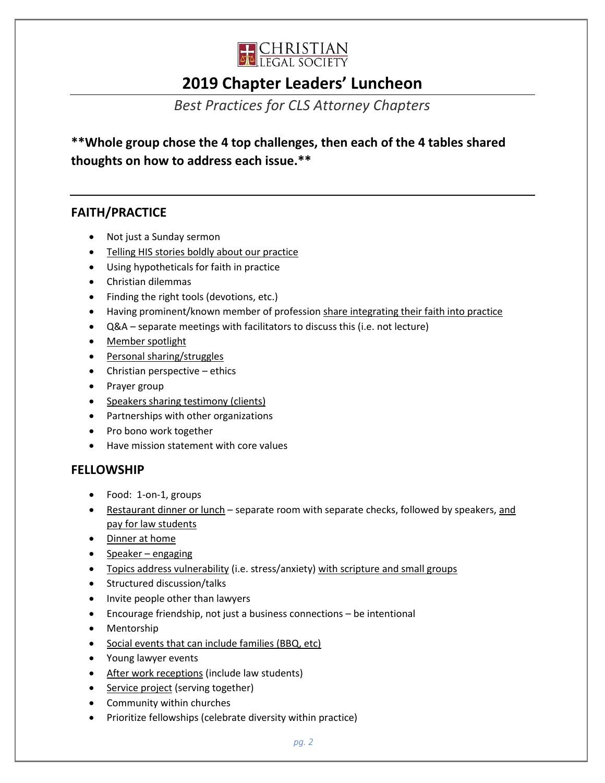

### **2019 Chapter Leaders' Luncheon**

### *Best Practices for CLS Attorney Chapters*

**\*\*Whole group chose the 4 top challenges, then each of the 4 tables shared thoughts on how to address each issue.\*\***

#### **FAITH/PRACTICE**

- Not just a Sunday sermon
- Telling HIS stories boldly about our practice
- Using hypotheticals for faith in practice
- Christian dilemmas
- Finding the right tools (devotions, etc.)
- Having prominent/known member of profession share integrating their faith into practice
- Q&A separate meetings with facilitators to discuss this (i.e. not lecture)
- Member spotlight
- Personal sharing/struggles
- Christian perspective ethics
- Prayer group
- Speakers sharing testimony (clients)
- Partnerships with other organizations
- Pro bono work together
- Have mission statement with core values

#### **FELLOWSHIP**

- Food: 1-on-1, groups
- Restaurant dinner or lunch separate room with separate checks, followed by speakers, and pay for law students
- Dinner at home
- Speaker engaging
- Topics address vulnerability (i.e. stress/anxiety) with scripture and small groups
- Structured discussion/talks
- Invite people other than lawyers
- Encourage friendship, not just a business connections be intentional
- Mentorship
- Social events that can include families (BBQ, etc)
- Young lawyer events
- After work receptions (include law students)
- Service project (serving together)
- Community within churches
- Prioritize fellowships (celebrate diversity within practice)